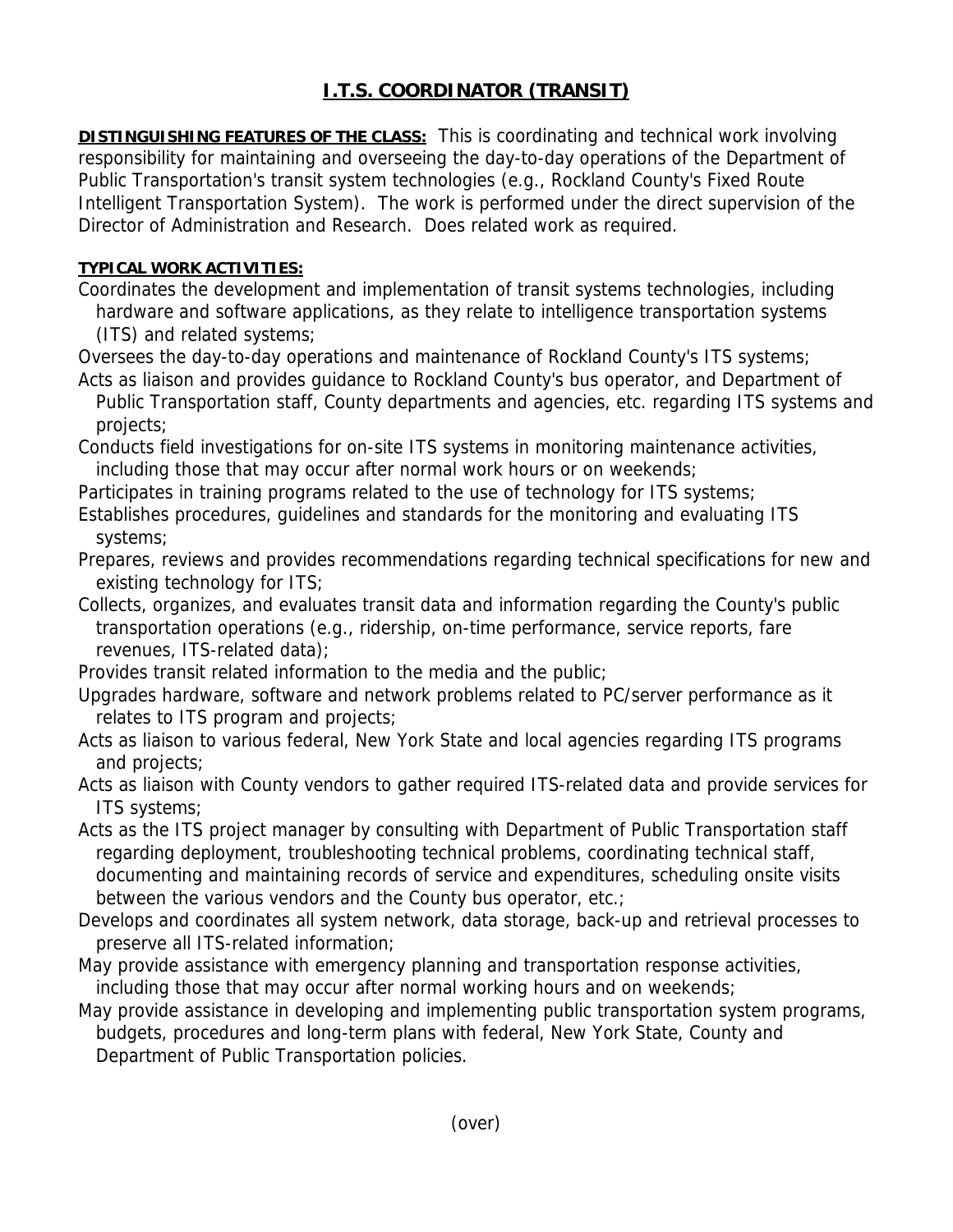## **I.T.S. COORDINATOR (TRANSIT)**

**DISTINGUISHING FEATURES OF THE CLASS:** This is coordinating and technical work involving responsibility for maintaining and overseeing the day-to-day operations of the Department of Public Transportation's transit system technologies (e.g., Rockland County's Fixed Route Intelligent Transportation System). The work is performed under the direct supervision of the Director of Administration and Research. Does related work as required.

## **TYPICAL WORK ACTIVITIES:**

Coordinates the development and implementation of transit systems technologies, including hardware and software applications, as they relate to intelligence transportation systems (ITS) and related systems;

Oversees the day-to-day operations and maintenance of Rockland County's ITS systems; Acts as liaison and provides guidance to Rockland County's bus operator, and Department of

 Public Transportation staff, County departments and agencies, etc. regarding ITS systems and projects;

Conducts field investigations for on-site ITS systems in monitoring maintenance activities, including those that may occur after normal work hours or on weekends;

Participates in training programs related to the use of technology for ITS systems;

Establishes procedures, guidelines and standards for the monitoring and evaluating ITS systems;

Prepares, reviews and provides recommendations regarding technical specifications for new and existing technology for ITS;

Collects, organizes, and evaluates transit data and information regarding the County's public transportation operations (e.g., ridership, on-time performance, service reports, fare revenues, ITS-related data);

Provides transit related information to the media and the public;

Upgrades hardware, software and network problems related to PC/server performance as it relates to ITS program and projects;

Acts as liaison to various federal, New York State and local agencies regarding ITS programs and projects;

Acts as liaison with County vendors to gather required ITS-related data and provide services for ITS systems;

Acts as the ITS project manager by consulting with Department of Public Transportation staff regarding deployment, troubleshooting technical problems, coordinating technical staff, documenting and maintaining records of service and expenditures, scheduling onsite visits between the various vendors and the County bus operator, etc.;

Develops and coordinates all system network, data storage, back-up and retrieval processes to preserve all ITS-related information;

May provide assistance with emergency planning and transportation response activities, including those that may occur after normal working hours and on weekends;

May provide assistance in developing and implementing public transportation system programs, budgets, procedures and long-term plans with federal, New York State, County and Department of Public Transportation policies.